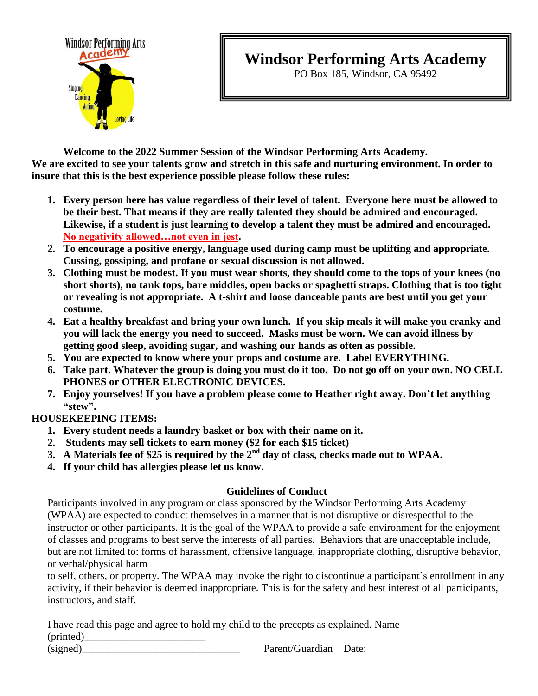

# **Windsor Performing Arts Academy**

PO Box 185, Windsor, CA 95492

**Welcome to the 2022 Summer Session of the Windsor Performing Arts Academy. We are excited to see your talents grow and stretch in this safe and nurturing environment. In order to insure that this is the best experience possible please follow these rules:**

- **1. Every person here has value regardless of their level of talent. Everyone here must be allowed to be their best. That means if they are really talented they should be admired and encouraged. Likewise, if a student is just learning to develop a talent they must be admired and encouraged. No negativity allowed…not even in jest.**
- **2. To encourage a positive energy, language used during camp must be uplifting and appropriate. Cussing, gossiping, and profane or sexual discussion is not allowed.**
- **3. Clothing must be modest. If you must wear shorts, they should come to the tops of your knees (no short shorts), no tank tops, bare middles, open backs or spaghetti straps. Clothing that is too tight or revealing is not appropriate. A t-shirt and loose danceable pants are best until you get your costume.**
- **4. Eat a healthy breakfast and bring your own lunch. If you skip meals it will make you cranky and you will lack the energy you need to succeed. Masks must be worn. We can avoid illness by getting good sleep, avoiding sugar, and washing our hands as often as possible.**
- **5. You are expected to know where your props and costume are. Label EVERYTHING.**
- **6. Take part. Whatever the group is doing you must do it too. Do not go off on your own. NO CELL PHONES or OTHER ELECTRONIC DEVICES.**
- **7. Enjoy yourselves! If you have a problem please come to Heather right away. Don't let anything "stew".**

#### **HOUSEKEEPING ITEMS:**

- **1. Every student needs a laundry basket or box with their name on it.**
- **2. Students may sell tickets to earn money (\$2 for each \$15 ticket)**
- **3. A Materials fee of \$25 is required by the 2nd day of class, checks made out to WPAA.**
- **4. If your child has allergies please let us know.**

#### **Guidelines of Conduct**

Participants involved in any program or class sponsored by the Windsor Performing Arts Academy (WPAA) are expected to conduct themselves in a manner that is not disruptive or disrespectful to the instructor or other participants. It is the goal of the WPAA to provide a safe environment for the enjoyment of classes and programs to best serve the interests of all parties. Behaviors that are unacceptable include, but are not limited to: forms of harassment, offensive language, inappropriate clothing, disruptive behavior, or verbal/physical harm

to self, others, or property. The WPAA may invoke the right to discontinue a participant's enrollment in any activity, if their behavior is deemed inappropriate. This is for the safety and best interest of all participants, instructors, and staff.

I have read this page and agree to hold my child to the precepts as explained. Name  $(printed)$ 

(signed) Parent/Guardian Date: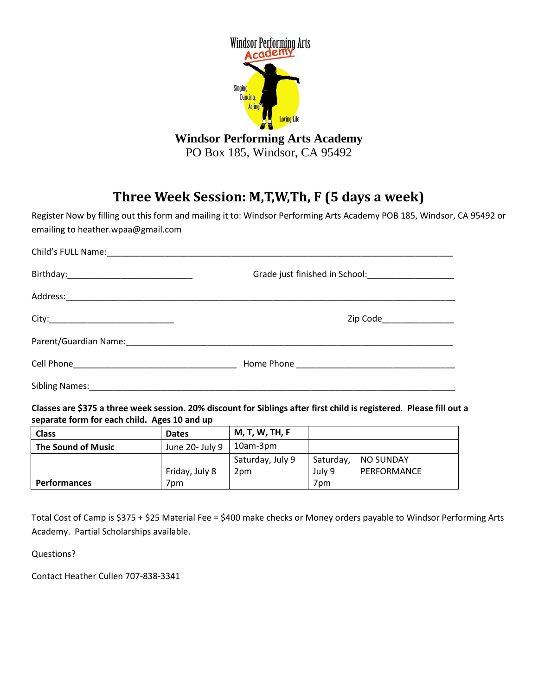

PO Box 185, Windsor, CA 95492

## **Three Week Session: M,T,W,Th, F (5 days a week)**

Register Now by filling out this form and mailing it to: Windsor Performing Arts Academy POB 185, Windsor, CA 95492 or emailing to heather.wpaa@gmail.com

|                | Zip Code_________________ |
|----------------|---------------------------|
|                |                           |
|                |                           |
| Sibling Names: |                           |

**Classes are \$375 a three week session. 20% discount for Siblings after first child is registered. Please fill out a separate form for each child. Ages 10 and up**

| <b>Class</b>        | <b>Dates</b>    | <b>M, T, W, TH, F</b> |                 |             |
|---------------------|-----------------|-----------------------|-----------------|-------------|
| The Sound of Music  | June 20- July 9 | 10am-3pm              |                 |             |
|                     |                 | Saturday, July 9      | Saturday,       | NO SUNDAY   |
|                     | Friday, July 8  | 2pm                   | July 9          | PERFORMANCE |
| <b>Performances</b> | 7pm             |                       | 7 <sub>pm</sub> |             |

Total Cost of Camp is \$375 + \$25 Material Fee = \$400 make checks or Money orders payable to Windsor Performing Arts Academy. Partial Scholarships available.

Questions?

Contact Heather Cullen 707-838-3341